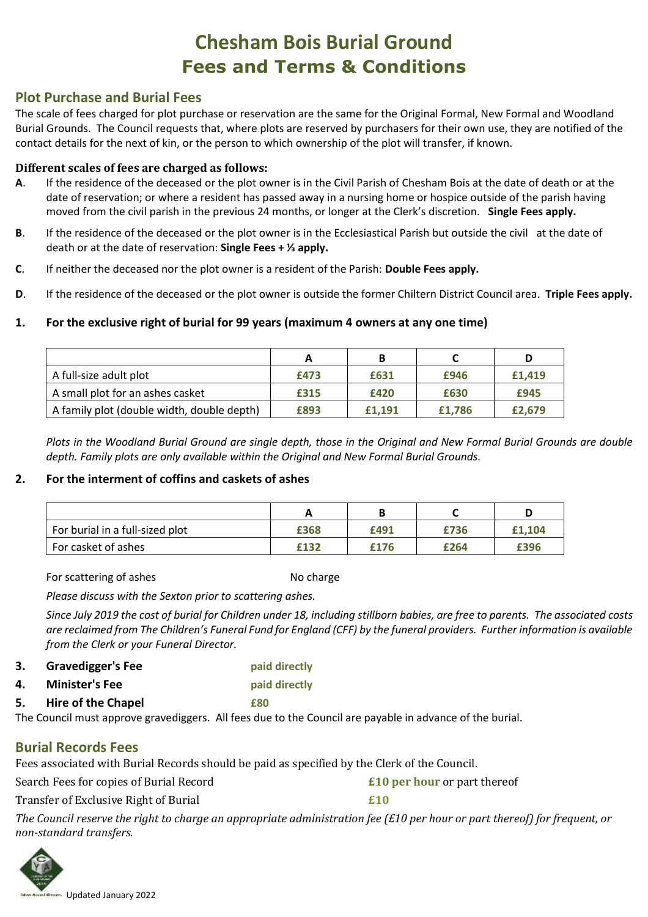# **Chesham Bois Burial Ground Fees and Terms & Conditions**

## **Plot Purchase and Burial Fees**

The scale of fees charged for plot purchase or reservation are the same for the Original Formal, New Formal and Woodland Burial Grounds. The Council requests that, where plots are reserved by purchasers for their own use, they are notified of the contact details for the next of kin, or the person to which ownership of the plot will transfer, if known.

#### **Different scales of fees are charged as follows:**

- **A**. If the residence of the deceased or the plot owner is in the Civil Parish of Chesham Bois at the date of death or at the date of reservation; or where a resident has passed away in a nursing home or hospice outside of the parish having moved from the civil parish in the previous 24 months, or longer at the Clerk's discretion. **Single Fees apply.**
- **B**. If the residence of the deceased or the plot owner is in the Ecclesiastical Parish but outside the civil at the date of death or at the date of reservation: **Single Fees + ⅓ apply.**
- **C**. If neither the deceased nor the plot owner is a resident of the Parish: **Double Fees apply.**
- **D**. If the residence of the deceased or the plot owner is outside the former Chiltern District Council area. **Triple Fees apply.**

#### **1. For the exclusive right of burial for 99 years (maximum 4 owners at any one time)**

|                                            | А    |        |        | D      |
|--------------------------------------------|------|--------|--------|--------|
| A full-size adult plot                     | £473 | £631   | £946   | £1.419 |
| A small plot for an ashes casket           | £315 | £420   | £630   | £945   |
| A family plot (double width, double depth) | £893 | £1.191 | £1.786 | £2.679 |

*Plots in the Woodland Burial Ground are single depth, those in the Original and New Formal Burial Grounds are double depth. Family plots are only available within the Original and New Formal Burial Grounds.* 

#### **2. For the interment of coffins and caskets of ashes**

| For burial in a full-sized plot | £368 | £491 | £736 | £1.104 |
|---------------------------------|------|------|------|--------|
| For casket of ashes             | £132 | £176 | £264 | £396   |

For scattering of ashes No charge No charge

*Please discuss with the Sexton prior to scattering ashes.*

*Since July 2019 the cost of burial for Children under 18, including stillborn babies, are free to parents. The associated costs are reclaimed from The Children's Funeral Fund for England (CFF) by the funeral providers. Further information is available from the Clerk or your Funeral Director.*

**3. Gravedigger's Fee paid directly**

**4. Minister's Fee paid directly**

**5. Hire of the Chapel £80**

The Council must approve gravediggers. All fees due to the Council are payable in advance of the burial.

## **Burial Records Fees**

Fees associated with Burial Records should be paid as specified by the Clerk of the Council.

Search Fees for copies of Burial Record **£10 per hour** or part thereof

Transfer of Exclusive Right of Burial **£10** 

*The Council reserve the right to charge an appropriate administration fee (£10 per hour or part thereof) for frequent, or non-standard transfers.*